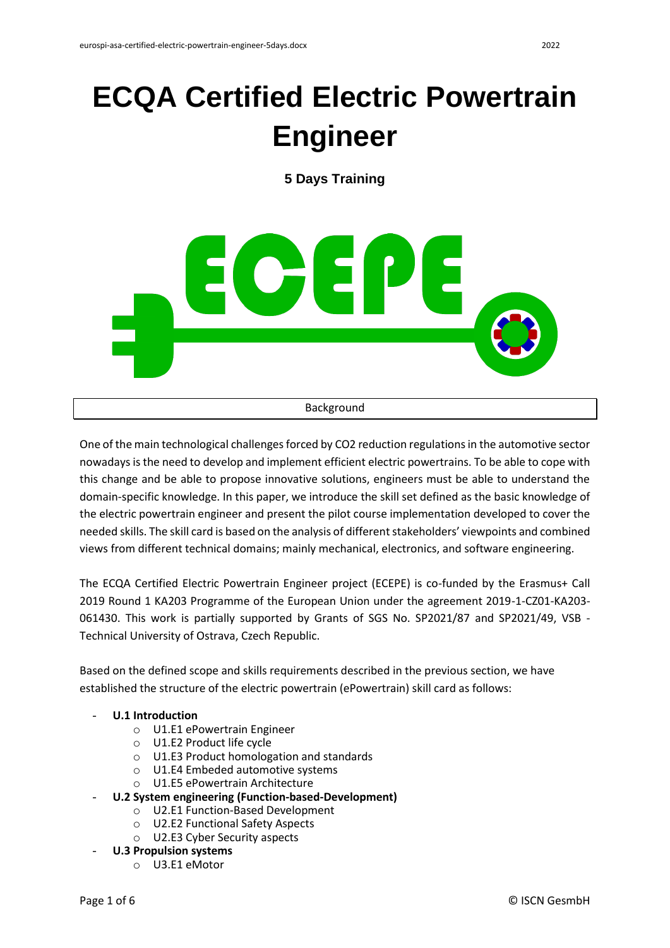# **ECQA Certified Electric Powertrain Engineer**

**5 Days Training**



One of the main technological challenges forced by CO2 reduction regulations in the automotive sector nowadays is the need to develop and implement efficient electric powertrains. To be able to cope with this change and be able to propose innovative solutions, engineers must be able to understand the domain-specific knowledge. In this paper, we introduce the skill set defined as the basic knowledge of the electric powertrain engineer and present the pilot course implementation developed to cover the needed skills. The skill card is based on the analysis of different stakeholders' viewpoints and combined views from different technical domains; mainly mechanical, electronics, and software engineering.

The ECQA Certified Electric Powertrain Engineer project (ECEPE) is co-funded by the Erasmus+ Call 2019 Round 1 KA203 Programme of the European Union under the agreement 2019-1-CZ01-KA203- 061430. This work is partially supported by Grants of SGS No. SP2021/87 and SP2021/49, VSB - Technical University of Ostrava, Czech Republic.

Based on the defined scope and skills requirements described in the previous section, we have established the structure of the electric powertrain (ePowertrain) skill card as follows:

## - **U.1 Introduction**

- o U1.E1 ePowertrain Engineer
- o U1.E2 Product life cycle
- o U1.E3 Product homologation and standards
- o U1.E4 Embeded automotive systems
- o U1.E5 ePowertrain Architecture
- **U.2 System engineering (Function-based-Development)**
	- o U2.E1 Function-Based Development
	- o U2.E2 Functional Safety Aspects
	- o U2.E3 Cyber Security aspects
- **U.3 Propulsion systems**
	- o U3.E1 eMotor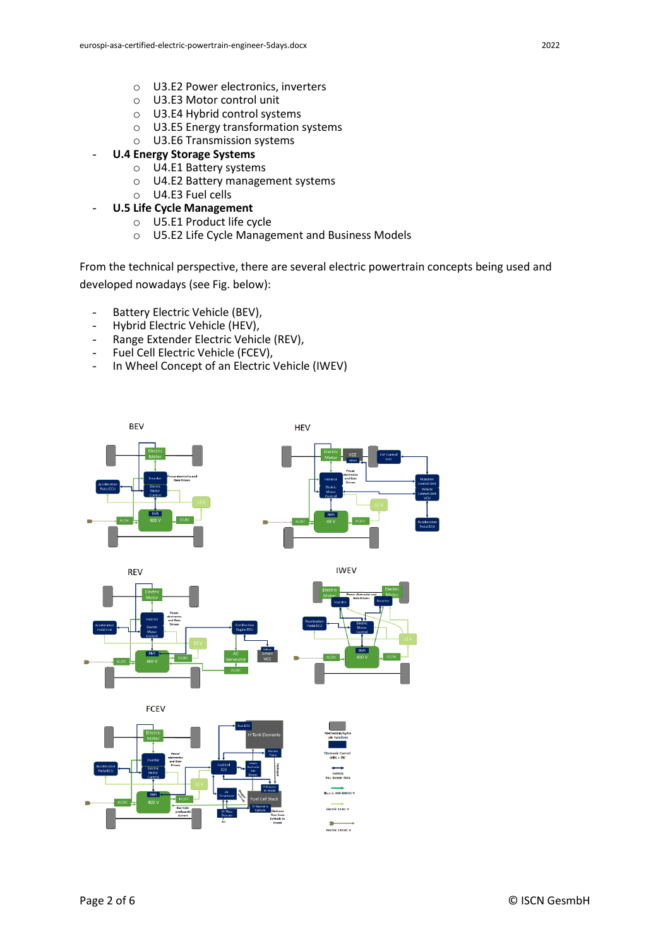- o U3.E3 Motor control unit
- o U3.E4 Hybrid control systems
- o U3.E5 Energy transformation systems
- o U3.E6 Transmission systems
- **U.4 Energy Storage Systems**
	- o U4.E1 Battery systems
	- o U4.E2 Battery management systems
	- o U4.E3 Fuel cells
	- **U.5 Life Cycle Management** 
		- o U5.E1 Product life cycle
		- o U5.E2 Life Cycle Management and Business Models

From the technical perspective, there are several electric powertrain concepts being used and developed nowadays (see Fig. below):

- Battery Electric Vehicle (BEV),
- Hybrid Electric Vehicle (HEV),
- Range Extender Electric Vehicle (REV),
- Fuel Cell Electric Vehicle (FCEV),
- In Wheel Concept of an Electric Vehicle (IWEV)

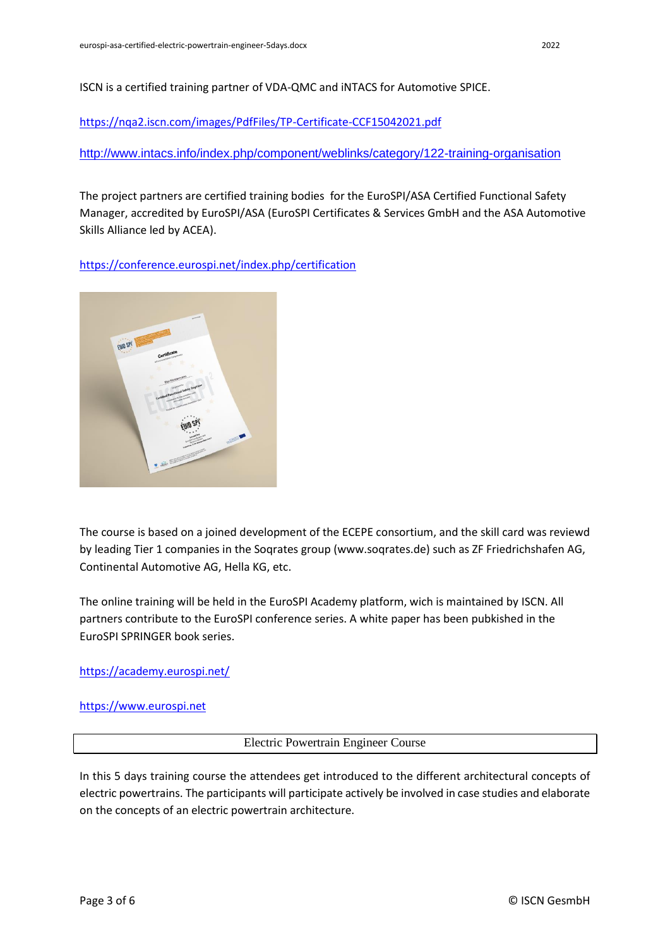ISCN is a certified training partner of VDA-QMC and iNTACS for Automotive SPICE.

<https://nqa2.iscn.com/images/PdfFiles/TP-Certificate-CCF15042021.pdf>

<http://www.intacs.info/index.php/component/weblinks/category/122-training-organisation>

The project partners are certified training bodies for the EuroSPI/ASA Certified Functional Safety Manager, accredited by EuroSPI/ASA (EuroSPI Certificates & Services GmbH and the ASA Automotive Skills Alliance led by ACEA).

<https://conference.eurospi.net/index.php/certification>



The course is based on a joined development of the ECEPE consortium, and the skill card was reviewd by leading Tier 1 companies in the Soqrates group (www.soqrates.de) such as ZF Friedrichshafen AG, Continental Automotive AG, Hella KG, etc.

The online training will be held in the EuroSPI Academy platform, wich is maintained by ISCN. All partners contribute to the EuroSPI conference series. A white paper has been pubkished in the EuroSPI SPRINGER book series.

<https://academy.eurospi.net/>

[https://www.eurospi.net](https://www.eurospi.net/)

#### Electric Powertrain Engineer Course

In this 5 days training course the attendees get introduced to the different architectural concepts of electric powertrains. The participants will participate actively be involved in case studies and elaborate on the concepts of an electric powertrain architecture.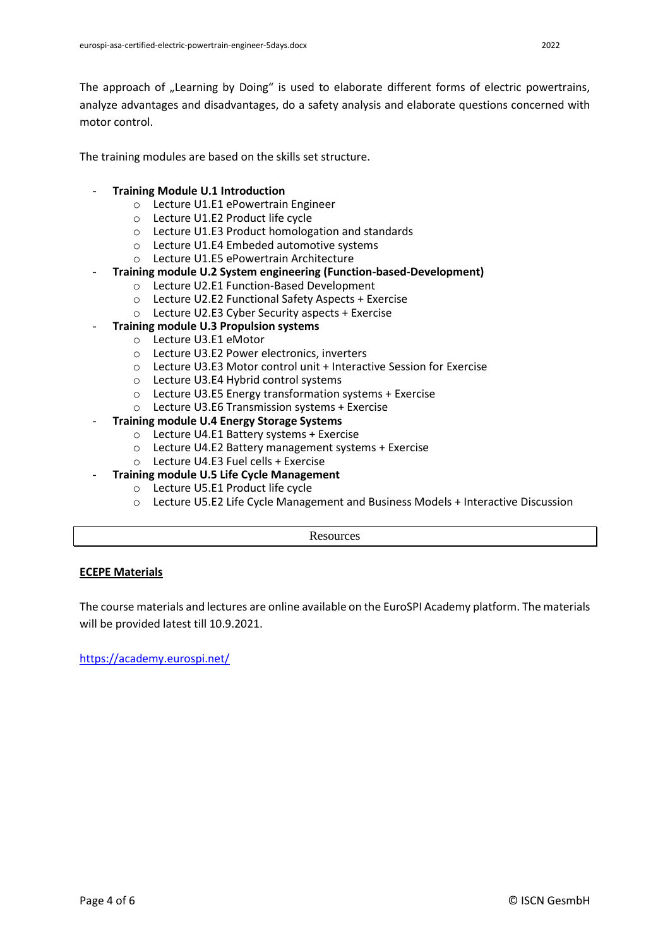The approach of "Learning by Doing" is used to elaborate different forms of electric powertrains, analyze advantages and disadvantages, do a safety analysis and elaborate questions concerned with motor control.

The training modules are based on the skills set structure.

## - **Training Module U.1 Introduction**

- o Lecture U1.E1 ePowertrain Engineer
- o Lecture U1.E2 Product life cycle
- o Lecture U1.E3 Product homologation and standards
- o Lecture U1.E4 Embeded automotive systems
- o Lecture U1.E5 ePowertrain Architecture
- **Training module U.2 System engineering (Function-based-Development)**
	- o Lecture U2.E1 Function-Based Development
	- o Lecture U2.E2 Functional Safety Aspects + Exercise
	- o Lecture U2.E3 Cyber Security aspects + Exercise
- **Training module U.3 Propulsion systems**
	- o Lecture U3.E1 eMotor
	- o Lecture U3.E2 Power electronics, inverters
	- o Lecture U3.E3 Motor control unit + Interactive Session for Exercise
	- o Lecture U3.E4 Hybrid control systems
	- o Lecture U3.E5 Energy transformation systems + Exercise
	- o Lecture U3.E6 Transmission systems + Exercise
- **Training module U.4 Energy Storage Systems**
	- o Lecture U4.E1 Battery systems + Exercise
	- o Lecture U4.E2 Battery management systems + Exercise
	- o Lecture U4.E3 Fuel cells + Exercise
	- **Training module U.5 Life Cycle Management** 
		- o Lecture U5.E1 Product life cycle
		- o Lecture U5.E2 Life Cycle Management and Business Models + Interactive Discussion

**Resources** 

# **ECEPE Materials**

The course materials and lectures are online available on the EuroSPI Academy platform. The materials will be provided latest till 10.9.2021.

<https://academy.eurospi.net/>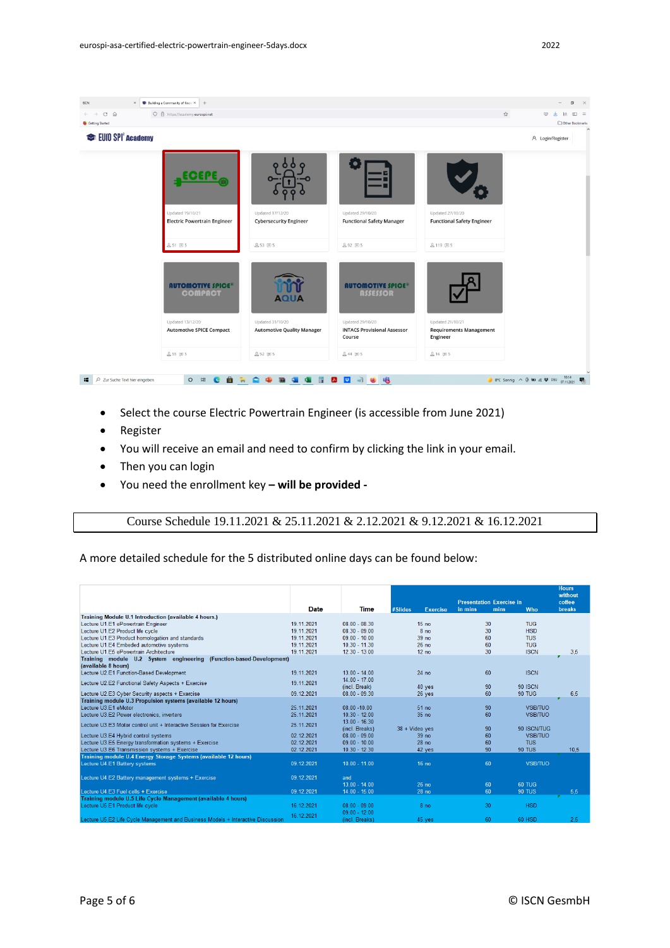

- Select the course Electric Powertrain Engineer (is accessible from June 2021)
- Register
- You will receive an email and need to confirm by clicking the link in your email.
- Then you can login
- You need the enrollment key **– will be provided -**

Course Schedule 19.11.2021 & 25.11.2021 & 2.12.2021 & 9.12.2021 & 16.12.2021

#### A more detailed schedule for the 5 distributed online days can be found below:

|                                                                                  | Date       | <b>Time</b>     | #Slides<br><b>Exercise</b> | <b>Presentation Exercise in</b><br>in mins<br>mins | Who            | <b>Hours</b><br>without<br>coffee<br><b>breaks</b> |
|----------------------------------------------------------------------------------|------------|-----------------|----------------------------|----------------------------------------------------|----------------|----------------------------------------------------|
| Training Module U.1 Introduction (available 4 hours.)                            |            |                 |                            |                                                    |                |                                                    |
| Lecture U1.E1 ePowertrain Engineer                                               | 19.11.2021 | $08.00 - 08.30$ | 15 <sub>no</sub>           | 30                                                 | <b>TUG</b>     |                                                    |
| Lecture U1.E2 Product life cycle                                                 | 19.11.2021 | $08.30 - 09.00$ | 8 <sub>no</sub>            | 30                                                 | <b>HSD</b>     |                                                    |
| Lecture U1.E3 Product homologation and standards                                 | 19.11.2021 | $09.00 - 10.00$ | 39 no                      | 60                                                 | <b>TUS</b>     |                                                    |
| Lecture U1.E4 Embeded automotive systems                                         | 19.11.2021 | $10.30 - 11.30$ | 26 <sub>no</sub>           | 60                                                 | <b>TUG</b>     |                                                    |
| Lecture U1.E5 ePowertrain Architecture                                           | 19.11.2021 | $12.30 - 13.00$ | 12 <sub>no</sub>           | 30                                                 | <b>ISCN</b>    | 3,5                                                |
| Training module U.2 System engineering (Function-based-Development)              |            |                 |                            |                                                    |                |                                                    |
| (available 8 hours)                                                              |            |                 |                            |                                                    |                |                                                    |
| Lecture U2.E1 Function-Based Development                                         | 19.11.2021 | $13.00 - 14.00$ | 24 no                      | 60                                                 | <b>ISCN</b>    |                                                    |
| Lecture U2.E2 Functional Safety Aspects + Exercise                               | 19.11.2021 | $14.00 - 17.00$ |                            |                                                    |                |                                                    |
|                                                                                  |            | (incl. Break)   | 40 yes                     | 90                                                 | <b>90 ISCN</b> |                                                    |
| Lecture U2.E3 Cyber Security aspects + Exercise                                  | 09.12.2021 | $08.00 - 09.30$ | 26 yes                     | 60                                                 | <b>90 TUG</b>  | 6.5                                                |
| Training module U.3 Propulsion systems (available 12 hours)                      |            |                 |                            |                                                    |                |                                                    |
| Lecture U3.E1 eMotor                                                             | 25.11.2021 | $08.00 - 10.00$ | 51 no                      | 90                                                 | <b>VSB/TUO</b> |                                                    |
| Lecture U3.E2 Power electronics, inverters                                       | 25.11.2021 | $10.30 - 12.00$ | 35 no                      | 60                                                 | <b>VSB/TUO</b> |                                                    |
| Lecture U3.E3 Motor control unit + Interactive Session for Exercise              | 25.11.2021 | $13.00 - 16.30$ |                            |                                                    |                |                                                    |
|                                                                                  |            | (incl. Breaks)  | 38 + Video yes             | 90                                                 | 90 ISCN/TUG    |                                                    |
| Lecture U3.E4 Hybrid control systems                                             | 02.12.2021 | $08.00 - 09.00$ | 39 no                      | 60                                                 | <b>VSB/TUO</b> |                                                    |
| Lecture U3.E5 Energy transformation systems + Exercise                           | 02.12.2021 | $09.00 - 10.00$ | 28 <sub>no</sub>           | 60                                                 | <b>TUS</b>     |                                                    |
| Lecture U3.E6 Transmission systems + Exercise                                    | 02.12.2021 | $10.30 - 12.30$ | 42 yes                     | 90                                                 | <b>90 TUS</b>  | 10.5                                               |
| Training module U.4 Energy Storage Systems (available 12 hours)                  |            |                 |                            |                                                    |                |                                                    |
| Lecture U4.E1 Battery systems                                                    | 09 12 2021 | $1000 - 1100$   | 16 no                      | 60                                                 | VSB/TUO        |                                                    |
|                                                                                  |            |                 |                            |                                                    |                |                                                    |
| Lecture U4.E2 Battery management systems + Exercise                              | 09.12.2021 | and             |                            |                                                    |                |                                                    |
|                                                                                  |            | $13.00 - 14.00$ | 26 no                      | 60                                                 | <b>60 TUG</b>  |                                                    |
| Lecture U4 F3 Fuel cells + Exercise                                              | 09.12.2021 | $14.00 - 15.00$ | 28 <sub>no</sub>           | 60                                                 | <b>90 TUS</b>  | 5,5                                                |
| Training module U.5 Life Cycle Management (available 4 hours)                    |            |                 |                            |                                                    |                |                                                    |
| Lecture U5.E1 Product life cycle                                                 | 16.12.2021 | $08.00 - 09.00$ | 8 <sub>no</sub>            | 30                                                 | <b>HSD</b>     |                                                    |
|                                                                                  | 16.12.2021 | $09.00 - 12.00$ |                            |                                                    |                |                                                    |
| Lecture U5.E2 Life Cycle Management and Business Models + Interactive Discussion |            | (incl. Breaks)  | 45 yes                     | 60                                                 | <b>60 HSD</b>  | 2.5                                                |